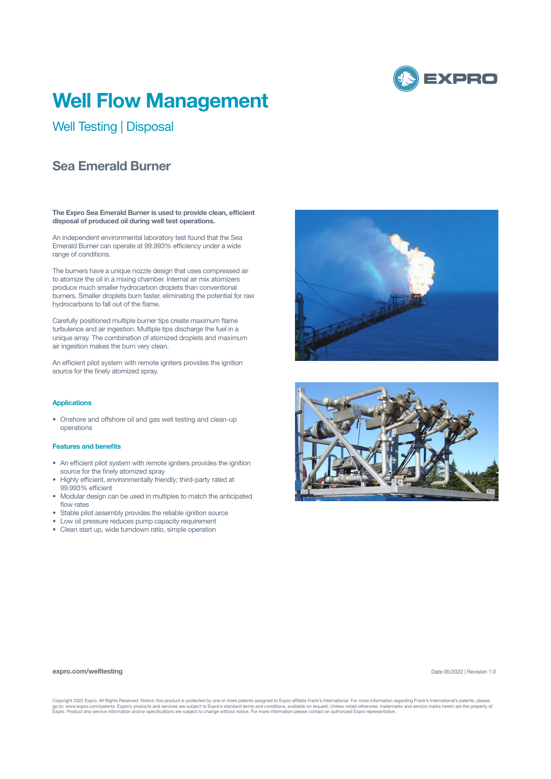

# **Well Flow Management**

Well Testing | Disposal

## **Sea Emerald Burner**

**The Expro Sea Emerald Burner is used to provide clean, efficient disposal of produced oil during well test operations.**

An independent environmental laboratory test found that the Sea Emerald Burner can operate at 99.993% efficiency under a wide range of conditions.

The burners have a unique nozzle design that uses compressed air to atomize the oil in a mixing chamber. Internal air mix atomizers produce much smaller hydrocarbon droplets than conventional burners. Smaller droplets burn faster, eliminating the potential for raw hydrocarbons to fall out of the flame.

Carefully positioned multiple burner tips create maximum flame turbulence and air ingestion. Multiple tips discharge the fuel in a unique array. The combination of atomized droplets and maximum air ingestion makes the burn very clean.

An efficient pilot system with remote igniters provides the ignition source for the finely atomized spray.

## **Applications**

• Onshore and offshore oil and gas well testing and clean-up operations

### **Features and benefits**

- An efficient pilot system with remote igniters provides the ignition source for the finely atomized spray
- Highly efficient, environmentally friendly; third-party rated at 99.993% efficient
- Modular design can be used in multiples to match the anticipated flow rates
- Stable pilot assembly provides the reliable ignition source
- Low oil pressure reduces pump capacity requirement
- Clean start up, wide turndown ratio, simple operation





#### **expro.com/welltesting**

Date 05/2022 | Revision 1.0

Copyright 2022 Expro. All Rights Reserved. Notice: this product is protected by one or more patents assigned to Expro affiliate Frank's International. For more information regarding Frank's International's patents, please<br>